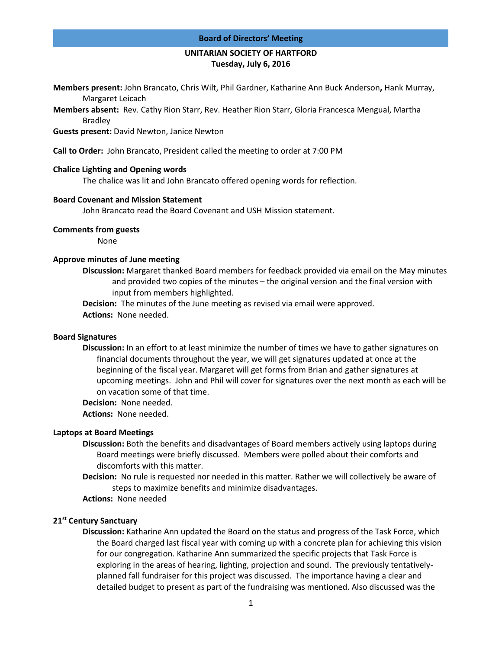#### **Board of Directors' Meeting**

### **UNITARIAN SOCIETY OF HARTFORD Tuesday, July 6, 2016**

**Members present:** John Brancato, Chris Wilt, Phil Gardner, Katharine Ann Buck Anderson**,** Hank Murray, Margaret Leicach

**Members absent:** Rev. Cathy Rion Starr, Rev. Heather Rion Starr, Gloria Francesca Mengual, Martha Bradley

**Guests present:** David Newton, Janice Newton

**Call to Order:** John Brancato, President called the meeting to order at 7:00 PM

#### **Chalice Lighting and Opening words**

The chalice was lit and John Brancato offered opening words for reflection.

#### **Board Covenant and Mission Statement**

John Brancato read the Board Covenant and USH Mission statement.

#### **Comments from guests**

None

#### **Approve minutes of June meeting**

**Discussion:** Margaret thanked Board members for feedback provided via email on the May minutes and provided two copies of the minutes – the original version and the final version with input from members highlighted.

**Decision:** The minutes of the June meeting as revised via email were approved. **Actions:** None needed.

#### **Board Signatures**

**Discussion:** In an effort to at least minimize the number of times we have to gather signatures on financial documents throughout the year, we will get signatures updated at once at the beginning of the fiscal year. Margaret will get forms from Brian and gather signatures at upcoming meetings. John and Phil will cover for signatures over the next month as each will be on vacation some of that time.

**Decision:** None needed.

**Actions:** None needed.

## **Laptops at Board Meetings**

- **Discussion:** Both the benefits and disadvantages of Board members actively using laptops during Board meetings were briefly discussed. Members were polled about their comforts and discomforts with this matter.
- **Decision:** No rule is requested nor needed in this matter. Rather we will collectively be aware of steps to maximize benefits and minimize disadvantages.
- **Actions:** None needed

#### **21st Century Sanctuary**

**Discussion:** Katharine Ann updated the Board on the status and progress of the Task Force, which the Board charged last fiscal year with coming up with a concrete plan for achieving this vision for our congregation. Katharine Ann summarized the specific projects that Task Force is exploring in the areas of hearing, lighting, projection and sound. The previously tentativelyplanned fall fundraiser for this project was discussed. The importance having a clear and detailed budget to present as part of the fundraising was mentioned. Also discussed was the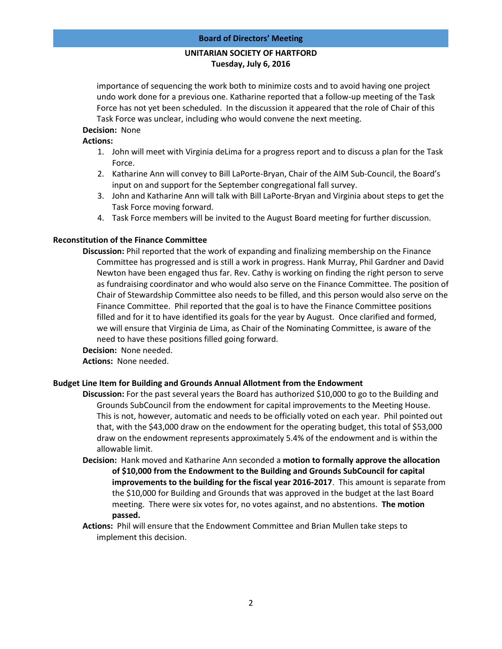# **UNITARIAN SOCIETY OF HARTFORD Tuesday, July 6, 2016**

importance of sequencing the work both to minimize costs and to avoid having one project undo work done for a previous one. Katharine reported that a follow-up meeting of the Task Force has not yet been scheduled. In the discussion it appeared that the role of Chair of this Task Force was unclear, including who would convene the next meeting.

## **Decision:** None

## **Actions:**

- 1. John will meet with Virginia deLima for a progress report and to discuss a plan for the Task Force.
- 2. Katharine Ann will convey to Bill LaPorte-Bryan, Chair of the AIM Sub-Council, the Board's input on and support for the September congregational fall survey.
- 3. John and Katharine Ann will talk with Bill LaPorte-Bryan and Virginia about steps to get the Task Force moving forward.
- 4. Task Force members will be invited to the August Board meeting for further discussion.

## **Reconstitution of the Finance Committee**

**Discussion:** Phil reported that the work of expanding and finalizing membership on the Finance Committee has progressed and is still a work in progress. Hank Murray, Phil Gardner and David Newton have been engaged thus far. Rev. Cathy is working on finding the right person to serve as fundraising coordinator and who would also serve on the Finance Committee. The position of Chair of Stewardship Committee also needs to be filled, and this person would also serve on the Finance Committee. Phil reported that the goal is to have the Finance Committee positions filled and for it to have identified its goals for the year by August. Once clarified and formed, we will ensure that Virginia de Lima, as Chair of the Nominating Committee, is aware of the need to have these positions filled going forward.

**Decision:** None needed.

**Actions:** None needed.

## **Budget Line Item for Building and Grounds Annual Allotment from the Endowment**

**Discussion:** For the past several years the Board has authorized \$10,000 to go to the Building and Grounds SubCouncil from the endowment for capital improvements to the Meeting House. This is not, however, automatic and needs to be officially voted on each year. Phil pointed out that, with the \$43,000 draw on the endowment for the operating budget, this total of \$53,000 draw on the endowment represents approximately 5.4% of the endowment and is within the allowable limit.

- **Decision:** Hank moved and Katharine Ann seconded a **motion to formally approve the allocation of \$10,000 from the Endowment to the Building and Grounds SubCouncil for capital improvements to the building for the fiscal year 2016-2017**. This amount is separate from the \$10,000 for Building and Grounds that was approved in the budget at the last Board meeting. There were six votes for, no votes against, and no abstentions. **The motion passed.**
- **Actions:** Phil will ensure that the Endowment Committee and Brian Mullen take steps to implement this decision.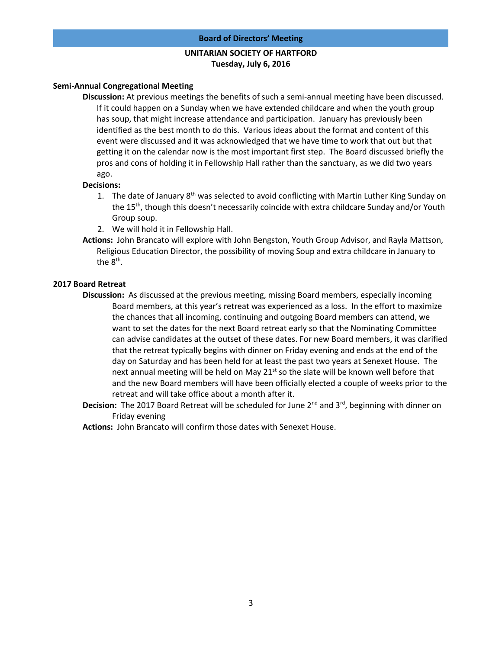#### **Board of Directors' Meeting**

## **UNITARIAN SOCIETY OF HARTFORD Tuesday, July 6, 2016**

#### **Semi-Annual Congregational Meeting**

**Discussion:** At previous meetings the benefits of such a semi-annual meeting have been discussed. If it could happen on a Sunday when we have extended childcare and when the youth group has soup, that might increase attendance and participation. January has previously been identified as the best month to do this. Various ideas about the format and content of this event were discussed and it was acknowledged that we have time to work that out but that getting it on the calendar now is the most important first step. The Board discussed briefly the pros and cons of holding it in Fellowship Hall rather than the sanctuary, as we did two years ago.

#### **Decisions:**

- 1. The date of January 8<sup>th</sup> was selected to avoid conflicting with Martin Luther King Sunday on the 15<sup>th</sup>, though this doesn't necessarily coincide with extra childcare Sunday and/or Youth Group soup.
- 2. We will hold it in Fellowship Hall.
- **Actions:** John Brancato will explore with John Bengston, Youth Group Advisor, and Rayla Mattson, Religious Education Director, the possibility of moving Soup and extra childcare in January to the  $8<sup>th</sup>$ .

#### **2017 Board Retreat**

- **Discussion:** As discussed at the previous meeting, missing Board members, especially incoming Board members, at this year's retreat was experienced as a loss. In the effort to maximize the chances that all incoming, continuing and outgoing Board members can attend, we want to set the dates for the next Board retreat early so that the Nominating Committee can advise candidates at the outset of these dates. For new Board members, it was clarified that the retreat typically begins with dinner on Friday evening and ends at the end of the day on Saturday and has been held for at least the past two years at Senexet House. The next annual meeting will be held on May  $21<sup>st</sup>$  so the slate will be known well before that and the new Board members will have been officially elected a couple of weeks prior to the retreat and will take office about a month after it.
- Decision: The 2017 Board Retreat will be scheduled for June 2<sup>nd</sup> and 3<sup>rd</sup>, beginning with dinner on Friday evening

**Actions:** John Brancato will confirm those dates with Senexet House.